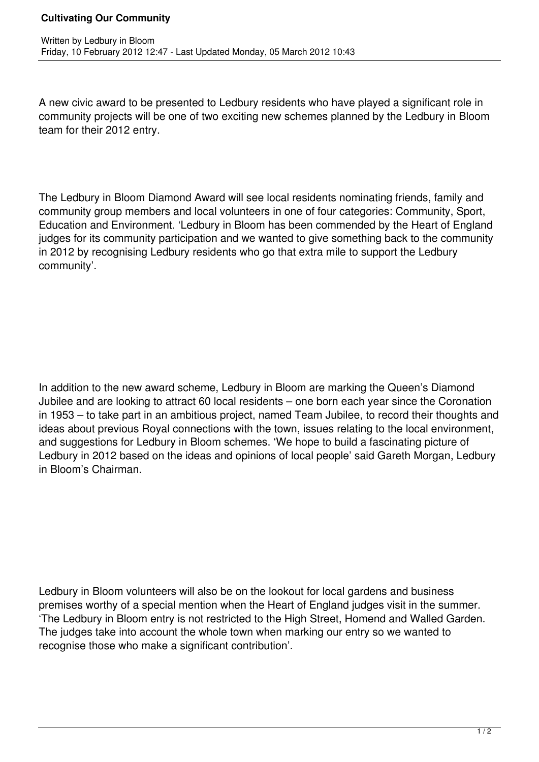## **Cultivating Our Community**

A new civic award to be presented to Ledbury residents who have played a significant role in community projects will be one of two exciting new schemes planned by the Ledbury in Bloom team for their 2012 entry.

The Ledbury in Bloom Diamond Award will see local residents nominating friends, family and community group members and local volunteers in one of four categories: Community, Sport, Education and Environment. 'Ledbury in Bloom has been commended by the Heart of England judges for its community participation and we wanted to give something back to the community in 2012 by recognising Ledbury residents who go that extra mile to support the Ledbury community'.

In addition to the new award scheme, Ledbury in Bloom are marking the Queen's Diamond Jubilee and are looking to attract 60 local residents – one born each year since the Coronation in 1953 – to take part in an ambitious project, named Team Jubilee, to record their thoughts and ideas about previous Royal connections with the town, issues relating to the local environment, and suggestions for Ledbury in Bloom schemes. 'We hope to build a fascinating picture of Ledbury in 2012 based on the ideas and opinions of local people' said Gareth Morgan, Ledbury in Bloom's Chairman.

Ledbury in Bloom volunteers will also be on the lookout for local gardens and business premises worthy of a special mention when the Heart of England judges visit in the summer. 'The Ledbury in Bloom entry is not restricted to the High Street, Homend and Walled Garden. The judges take into account the whole town when marking our entry so we wanted to recognise those who make a significant contribution'.